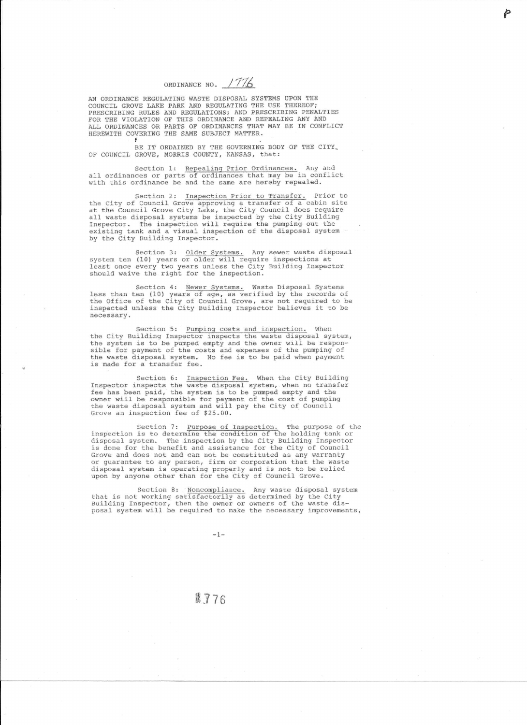ORDINANCE NO. 1776

AN ORDINANCE REGULATING WASTE DISPOSAL SYSTEMS UPON THE COUNCIL GROVE LAKE PARK AND REGULATING THE USE THEREOF; PRESCRIBING RULES AND REGULATIONS; AND PRESCRIBING PENALTIES FOR THE VIOLATION OF THIS ORDINANCE AND REPEALING ANY AND ALL ORDINANCES OR PARTS OF ORDINANCES THAT MAY BE IN CONFLICT HEREWITH COVERING THE SAME SUBJECT MATTER t

BE IT ORDAINED BY THE GOVERNING BODY OF THE CITY. OF COUNCIL GROVE, MORRIS COUNTY, KANSAS, that:

Section 1: Repealing Prior Ordinances. Any and all ordinances or parts of ordinances that may be in conflic<br>with this ordinance be and the same are hereby repealed.

Section 2: Inspection Prior to Transfer. Prior to<br>the City of Council Grove approving a transfer of a cabin site at the Council Grove City Lake, the City Council does requir all waste disposal systems be inspected by the City Building Inspector. The inspection will require the pumping out the existing tank and a visual inspection of the disposal system by the City Building Inspector.

Section 3: Older Systems. Any sewer waste disposa<br>system ten (10) years or older will require inspections at<br>least once every two years unless the City Building Inspector should waive the right for the inspection.

Section 4: <u>Newer Systems.</u> Waste Disposal Systems<br>less than ten (10) years of age, as verified by the records of the Office of the City of Council Grove, are not required to be inspected unless the City Building Inspector believes it to be necessary.

Section 5: Pumping costs and inspection. When the City Building Inspector inspects the waste disposal system, the system is to be pumped empty and the owner will be responsible for payment of the costs and expenses of the pumping of the waste disposal system. No fee is to be paid when payment is made for a transfer fee.

Section 6: Inspection Fee. When the City Buildin Inspector inspects the waste disposal system, when no transfe fee has been paid, the system is to be pumped empty and the owner will be responsible for payment of the cost of pumping the waste disposal system and will pay the City of Council Grove an inspection fee of \$25.00.

Section 7: Purpose of Inspection. The purpose of the inspection is to determine the condition of the holding tank or disposal system. The inspection by the City Building Inspector is done for the benefit and assistance for the City of Council Grove and does not and can not be constituted as any warranty or quarantee to any person, firm or corporation that the waste disposal system is operating properly and is not to be relied upon by anyone other than for the City of Council Grove.

Section B: Noncompliance. that is not working satisfactorily as Building Inspector, then the owner or posal system will be required to make Any waste disposal system determined by the City owners of the waste dis-the necessary improvements,

图 776